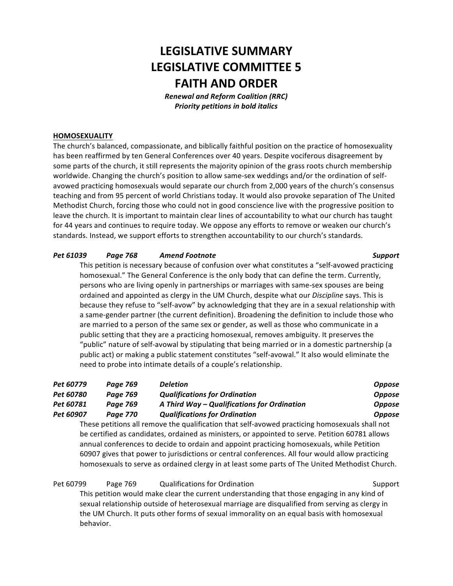# **LEGISLATIVE SUMMARY LEGISLATIVE COMMITTEE 5 FAITH AND ORDER**

*Renewal and Reform Coalition (RRC)* **Priority petitions in bold italics** 

# **HOMOSEXUALITY**

The church's balanced, compassionate, and biblically faithful position on the practice of homosexuality has been reaffirmed by ten General Conferences over 40 years. Despite vociferous disagreement by some parts of the church, it still represents the majority opinion of the grass roots church membership worldwide. Changing the church's position to allow same-sex weddings and/or the ordination of selfavowed practicing homosexuals would separate our church from 2,000 years of the church's consensus teaching and from 95 percent of world Christians today. It would also provoke separation of The United Methodist Church, forcing those who could not in good conscience live with the progressive position to leave the church. It is important to maintain clear lines of accountability to what our church has taught for 44 years and continues to require today. We oppose any efforts to remove or weaken our church's standards. Instead, we support efforts to strengthen accountability to our church's standards.

# *Pet 61039 Page 768 Amend Footnote Support*

This petition is necessary because of confusion over what constitutes a "self-avowed practicing homosexual." The General Conference is the only body that can define the term. Currently, persons who are living openly in partnerships or marriages with same-sex spouses are being ordained and appointed as clergy in the UM Church, despite what our *Discipline* says. This is because they refuse to "self-avow" by acknowledging that they are in a sexual relationship with a same-gender partner (the current definition). Broadening the definition to include those who are married to a person of the same sex or gender, as well as those who communicate in a public setting that they are a practicing homosexual, removes ambiguity. It preserves the "public" nature of self-avowal by stipulating that being married or in a domestic partnership (a public act) or making a public statement constitutes "self-avowal." It also would eliminate the need to probe into intimate details of a couple's relationship.

| Pet 60779 | Page 769        | <b>Deletion</b>                                                                                | <b>Oppose</b> |
|-----------|-----------------|------------------------------------------------------------------------------------------------|---------------|
| Pet 60780 | Page 769        | <b>Qualifications for Ordination</b>                                                           | <b>Oppose</b> |
| Pet 60781 | Page 769        | A Third Way - Qualifications for Ordination                                                    | <b>Oppose</b> |
| Pet 60907 | <b>Page 770</b> | <b>Qualifications for Ordination</b>                                                           | <b>Oppose</b> |
|           |                 | These petitions all remove the qualification that self-avowed practicing homosexuals shall not |               |
|           |                 |                                                                                                |               |

be certified as candidates, ordained as ministers, or appointed to serve. Petition 60781 allows annual conferences to decide to ordain and appoint practicing homosexuals, while Petition 60907 gives that power to jurisdictions or central conferences. All four would allow practicing homosexuals to serve as ordained clergy in at least some parts of The United Methodist Church.

Pet 60799 Page 769 Qualifications for Ordination Communication Support

This petition would make clear the current understanding that those engaging in any kind of sexual relationship outside of heterosexual marriage are disqualified from serving as clergy in the UM Church. It puts other forms of sexual immorality on an equal basis with homosexual behavior.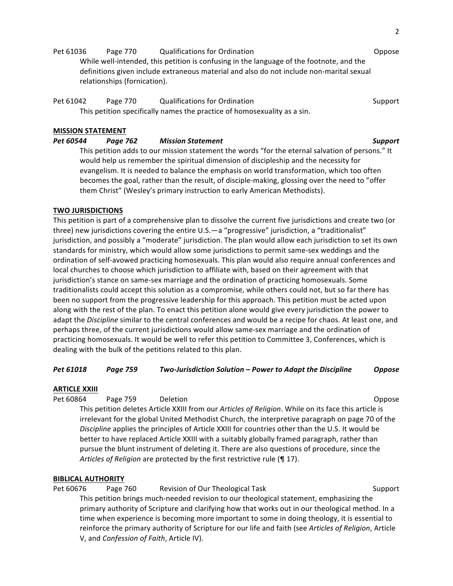Pet 61036 Page 770 Qualifications for Ordination **DepartManual Compose** Oppose While well-intended, this petition is confusing in the language of the footnote, and the definitions given include extraneous material and also do not include non-marital sexual relationships (fornication).

Pet 61042 Page 770 Qualifications for Ordination Communication Support This petition specifically names the practice of homosexuality as a sin.

# **MISSION STATEMENT**

*Pet 60544 Page 762 Mission Statement Support* This petition adds to our mission statement the words "for the eternal salvation of persons." It would help us remember the spiritual dimension of discipleship and the necessity for evangelism. It is needed to balance the emphasis on world transformation, which too often becomes the goal, rather than the result, of disciple-making, glossing over the need to "offer them Christ" (Wesley's primary instruction to early American Methodists).

# **TWO JURISDICTIONS**

This petition is part of a comprehensive plan to dissolve the current five jurisdictions and create two (or three) new jurisdictions covering the entire  $U.S.-a$  "progressive" jurisdiction, a "traditionalist" jurisdiction, and possibly a "moderate" jurisdiction. The plan would allow each jurisdiction to set its own standards for ministry, which would allow some jurisdictions to permit same-sex weddings and the ordination of self-avowed practicing homosexuals. This plan would also require annual conferences and local churches to choose which jurisdiction to affiliate with, based on their agreement with that jurisdiction's stance on same-sex marriage and the ordination of practicing homosexuals. Some traditionalists could accept this solution as a compromise, while others could not, but so far there has been no support from the progressive leadership for this approach. This petition must be acted upon along with the rest of the plan. To enact this petition alone would give every jurisdiction the power to adapt the *Discipline* similar to the central conferences and would be a recipe for chaos. At least one, and perhaps three, of the current jurisdictions would allow same-sex marriage and the ordination of practicing homosexuals. It would be well to refer this petition to Committee 3, Conferences, which is dealing with the bulk of the petitions related to this plan.

*Pet 61018 Page 759 Two-Jurisdiction Solution – Power to Adapt the Discipline Oppose*

# **ARTICLE XXIII**

Pet 60864 Page 759 Deletion Deletion Companies and Depose This petition deletes Article XXIII from our *Articles of Religion*. While on its face this article is irrelevant for the global United Methodist Church, the interpretive paragraph on page 70 of the *Discipline* applies the principles of Article XXIII for countries other than the U.S. It would be better to have replaced Article XXIII with a suitably globally framed paragraph, rather than pursue the blunt instrument of deleting it. There are also questions of procedure, since the *Articles of Religion* are protected by the first restrictive rule (¶ 17).

## **BIBLICAL AUTHORITY**

Pet 60676 Page 760 Revision of Our Theological Task Support Support This petition brings much-needed revision to our theological statement, emphasizing the primary authority of Scripture and clarifying how that works out in our theological method. In a time when experience is becoming more important to some in doing theology, it is essential to reinforce the primary authority of Scripture for our life and faith (see Articles of Religion, Article V, and *Confession of Faith*, Article IV).